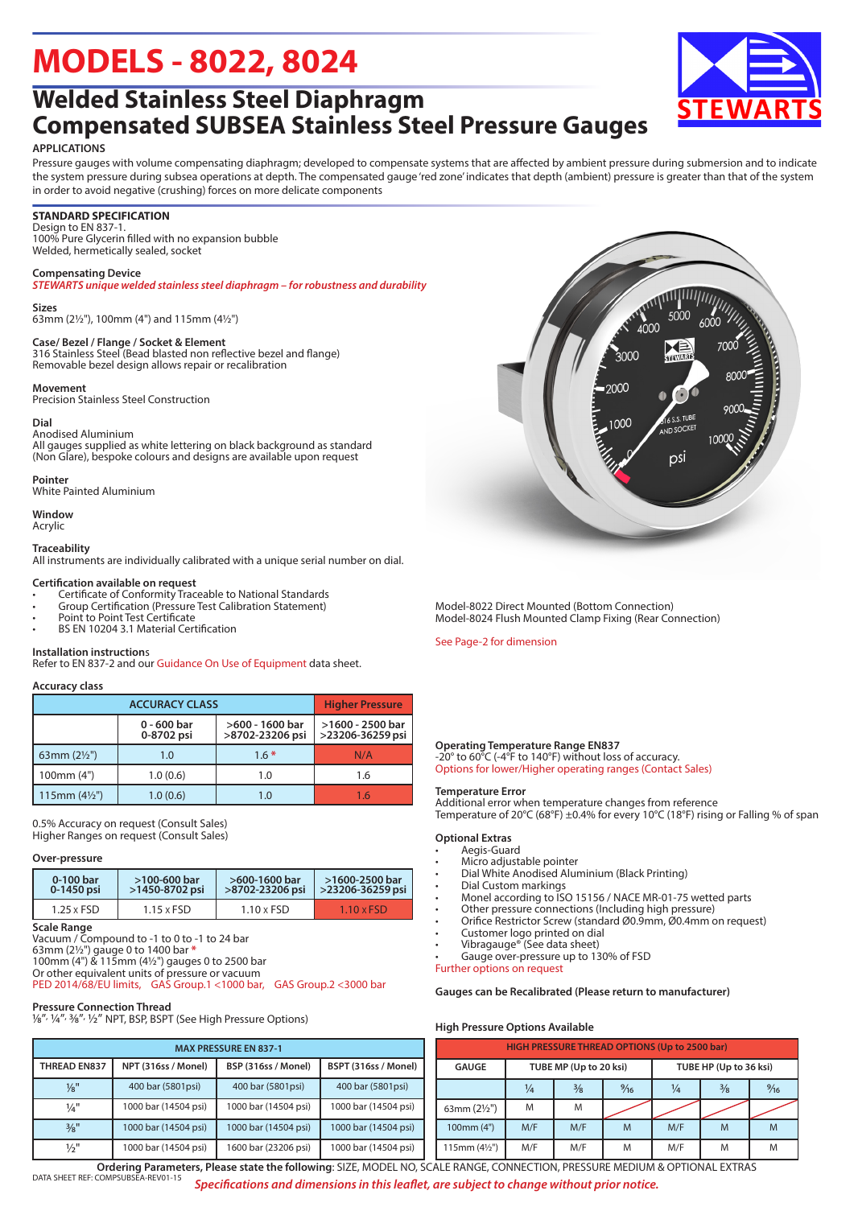# **MODELS - 8022, 8024**

### **Welded Stainless Steel Diaphragm Compensated SUBSEA Stainless Steel Pressure Gauges**

#### **APPLICATIONS**

Pressure gauges with volume compensating diaphragm; developed to compensate systems that are affected by ambient pressure during submersion and to indicate the system pressure during subsea operations at depth. The compensated gauge 'red zone' indicates that depth (ambient) pressure is greater than that of the system in order to avoid negative (crushing) forces on more delicate components

#### **STANDARD SPECIFICATION**

Design to EN 837-1. 100% Pure Glycerin filled with no expansion bubble Welded, hermetically sealed, socket

#### **Compensating Device**

*STEWARTS unique welded stainless steel diaphragm – for robustness and durability*

#### **Sizes**

63mm (2½"), 100mm (4") and 115mm (4½")

#### **Case/ Bezel / Flange / Socket & Element**

316 Stainless Steel (Bead blasted non reflective bezel and flange) Removable bezel design allows repair or recalibration

#### **Movement**

Precision Stainless Steel Construction

#### **Dial**

Anodised Aluminium All gauges supplied as white lettering on black background as standard (Non Glare), bespoke colours and designs are available upon request

#### **Pointer**

White Painted Aluminium

**Window** Acrylic

#### **Traceability**

All instruments are individually calibrated with a unique serial number on dial.

#### **Certification available on request**

- Certificate of Conformity Traceable to National Standards
- Group Certification (Pressure Test Calibration Statement)
- Point to Point Test Certificate
- BS EN 10204 3.1 Material Certification

#### **Installation instruction**s

Refer to EN 837-2 and our Guidance On Use of Equipment data sheet.

#### **Accuracy class**

|                        | <b>Higher Pressure</b>      |                                    |                                      |  |  |
|------------------------|-----------------------------|------------------------------------|--------------------------------------|--|--|
|                        | $0 - 600$ bar<br>0-8702 psi | >600 - 1600 bar<br>>8702-23206 psi | >1600 - 2500 bar<br>>23206-36259 psi |  |  |
| 63mm $(2\frac{1}{2})$  | 1.0                         | $1.6*$                             | N/A                                  |  |  |
| 100mm (4")             | 1.0(0.6)                    | 1.0                                | 1.6                                  |  |  |
| 115mm $(4\frac{1}{2})$ | 1.0(0.6)                    | 1.0                                | 1.6                                  |  |  |

0.5% Accuracy on request (Consult Sales) Higher Ranges on request (Consult Sales)

#### **Over-pressure**

| 0-100 bar         | $>100-600$ bar    | >600-1600 bar     | >1600-2500 bar    |  |  |
|-------------------|-------------------|-------------------|-------------------|--|--|
| 0-1450 psi        | >1450-8702 psi    | >8702-23206 psi   | >23206-36259 psi  |  |  |
| $1.25 \times FSD$ | $1.15 \times FSD$ | $1.10 \times FSD$ | $1.10 \times FSD$ |  |  |

**Scale Range**

Vacuum / Compound to -1 to 0 to -1 to 24 bar

63mm (2½") gauge 0 to 1400 bar **\*** 100mm (4") & 115mm (4½") gauges 0 to 2500 bar

Or other equivalent units of pressure or vacuum

PED 2014/68/EU limits, GAS Group.1 <1000 bar, GAS Group.2 <3000 bar

#### **Pressure Connection Thread**

11essure connection miles of the High Pressure Options)

| <b>MAX PRESSURE EN 837-1</b> |                      |                      |                      |  |                   |  |  |
|------------------------------|----------------------|----------------------|----------------------|--|-------------------|--|--|
| <b>THREAD EN837</b>          | NPT (316ss / Monel)  | BSP (316ss / Monel)  | BSPT (316ss / Monel) |  | GAUG              |  |  |
| $\frac{1}{8}$ "              | 400 bar (5801psi)    | 400 bar (5801psi)    | 400 bar (5801psi)    |  |                   |  |  |
| $\frac{1}{4}$ "              | 1000 bar (14504 psi) | 1000 bar (14504 psi) | 1000 bar (14504 psi) |  | 63mm (2           |  |  |
| 3/8"                         | 1000 bar (14504 psi) | 1000 bar (14504 psi) | 1000 bar (14504 psi) |  | 100 <sub>mm</sub> |  |  |
| $\frac{1}{2}$ "              | 1000 bar (14504 psi) | 1600 bar (23206 psi) | 1000 bar (14504 psi) |  | 115mm (           |  |  |



Model-8022 Direct Mounted (Bottom Connection) Model-8024 Flush Mounted Clamp Fixing (Rear Connection)

See Page-2 for dimension

#### **Operating Temperature Range EN837**

-20° to 60°C (-4°F to 140°F) without loss of accuracy. Options for lower/Higher operating ranges (Contact Sales)

#### **Temperature Error**

Additional error when temperature changes from reference Temperature of 20°C (68°F) ±0.4% for every 10°C (18°F) rising or Falling % of span

#### **Optional Extras**

- Aegis-Guard
- Micro adjustable pointer • Dial White Anodised Aluminium (Black Printing)
- Dial Custom markings
- Monel according to ISO 15156 / NACE MR-01-75 wetted parts
- Other pressure connections (Including high pressure)
- Orifice Restrictor Screw (standard Ø0.9mm, Ø0.4mm on request)
- Customer logo printed on dial
- Vibragauge® (See data sheet)

Gauge over-pressure up to 130% of FSD

Further options on request

**Gauges can be Recalibrated (Please return to manufacturer)**

#### **High Pressure Options Available**

| <b>HIGH PRESSURE THREAD OPTIONS (Up to 2500 bar)</b> |     |                        |                |                        |               |   |  |  |
|------------------------------------------------------|-----|------------------------|----------------|------------------------|---------------|---|--|--|
| <b>GAUGE</b>                                         |     | TUBE MP (Up to 20 ksi) |                | TUBE HP (Up to 36 ksi) |               |   |  |  |
|                                                      | ¼   | $\frac{3}{8}$          | $\frac{9}{16}$ | ¼                      | $\frac{3}{8}$ |   |  |  |
| 63mm $(2\frac{1}{2})$                                | M   | M                      |                |                        |               |   |  |  |
| 100mm (4")                                           | M/F | M/F                    | M              | M/F                    | M             | M |  |  |
| 115mm (41/2")                                        | M/F | M/F                    | M              | M/F                    | M             | M |  |  |